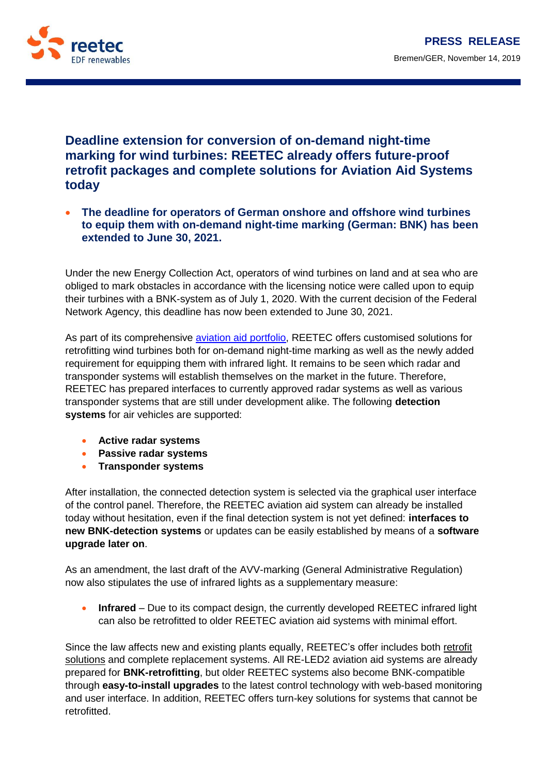

## **Deadline extension for conversion of on-demand night-time marking for wind turbines: REETEC already offers future-proof retrofit packages and complete solutions for Aviation Aid Systems today**

 **The deadline for operators of German onshore and offshore wind turbines to equip them with on-demand night-time marking (German: BNK) has been extended to June 30, 2021.**

Under the new Energy Collection Act, operators of wind turbines on land and at sea who are obliged to mark obstacles in accordance with the licensing notice were called upon to equip their turbines with a BNK-system as of July 1, 2020. With the current decision of the Federal Network Agency, this deadline has now been extended to June 30, 2021.

As part of its comprehensive [aviation aid portfolio,](http://www.reetec.de/EN/01-services/aviation-aid-systems.php) REETEC offers customised solutions for retrofitting wind turbines both for on-demand night-time marking as well as the newly added requirement for equipping them with infrared light. It remains to be seen which radar and transponder systems will establish themselves on the market in the future. Therefore, REETEC has prepared interfaces to currently approved radar systems as well as various transponder systems that are still under development alike. The following **detection systems** for air vehicles are supported:

- **Active radar systems**
- **Passive radar systems**
- **Transponder systems**

After installation, the connected detection system is selected via the graphical user interface of the control panel. Therefore, the REETEC aviation aid system can already be installed today without hesitation, even if the final detection system is not yet defined: **interfaces to new BNK-detection systems** or updates can be easily established by means of a **software upgrade later on**.

As an amendment, the last draft of the AVV-marking (General Administrative Regulation) now also stipulates the use of infrared lights as a supplementary measure:

**Infrared** – Due to its compact design, the currently developed REETEC infrared light can also be retrofitted to older REETEC aviation aid systems with minimal effort.

Since the law affects new and existing plants equally, REETEC's offer includes both retrofit [solutions](http://www.reetec.de/EN/01-services/retrofit.php) and complete replacement systems. All RE-LED2 aviation aid systems are already prepared for **BNK-retrofitting**, but older REETEC systems also become BNK-compatible through **easy-to-install upgrades** to the latest control technology with web-based monitoring and user interface. In addition, REETEC offers turn-key solutions for systems that cannot be retrofitted.